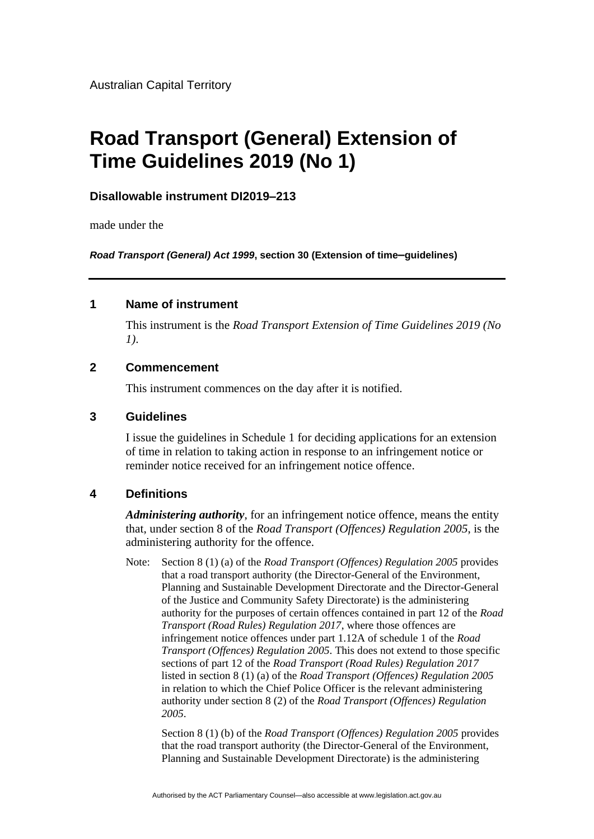Australian Capital Territory

# **Road Transport (General) Extension of Time Guidelines 2019 (No 1)**

## **Disallowable instrument DI2019–213**

made under the

*Road Transport (General) Act 1999***, section 30 (Extension of time–guidelines)**

## **1 Name of instrument**

This instrument is the *Road Transport Extension of Time Guidelines 2019 (No 1)*.

#### **2 Commencement**

This instrument commences on the day after it is notified.

## **3 Guidelines**

I issue the guidelines in Schedule 1 for deciding applications for an extension of time in relation to taking action in response to an infringement notice or reminder notice received for an infringement notice offence.

# **4 Definitions**

*Administering authority*, for an infringement notice offence, means the entity that, under section 8 of the *Road Transport (Offences) Regulation 2005*, is the administering authority for the offence.

Note: Section 8 (1) (a) of the *Road Transport (Offences) Regulation 2005* provides that a road transport authority (the Director-General of the Environment, Planning and Sustainable Development Directorate and the Director-General of the Justice and Community Safety Directorate) is the administering authority for the purposes of certain offences contained in part 12 of the *Road Transport (Road Rules) Regulation 2017*, where those offences are infringement notice offences under part 1.12A of schedule 1 of the *Road Transport (Offences) Regulation 2005*. This does not extend to those specific sections of part 12 of the *Road Transport (Road Rules) Regulation 2017*  listed in section 8 (1) (a) of the *Road Transport (Offences) Regulation 2005* in relation to which the Chief Police Officer is the relevant administering authority under section 8 (2) of the *Road Transport (Offences) Regulation 2005*.

Section 8 (1) (b) of the *Road Transport (Offences) Regulation 2005* provides that the road transport authority (the Director-General of the Environment, Planning and Sustainable Development Directorate) is the administering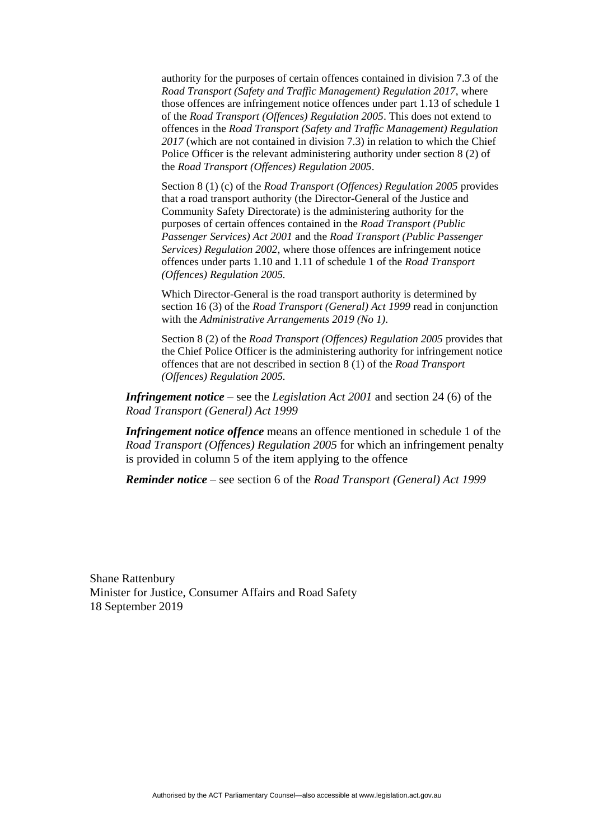authority for the purposes of certain offences contained in division 7.3 of the *Road Transport (Safety and Traffic Management) Regulation 2017*, where those offences are infringement notice offences under part 1.13 of schedule 1 of the *Road Transport (Offences) Regulation 2005*. This does not extend to offences in the *Road Transport (Safety and Traffic Management) Regulation 2017* (which are not contained in division 7.3) in relation to which the Chief Police Officer is the relevant administering authority under section 8 (2) of the *Road Transport (Offences) Regulation 2005*.

Section 8 (1) (c) of the *Road Transport (Offences) Regulation 2005* provides that a road transport authority (the Director-General of the Justice and Community Safety Directorate) is the administering authority for the purposes of certain offences contained in the *Road Transport (Public Passenger Services) Act 2001* and the *Road Transport (Public Passenger Services) Regulation 2002*, where those offences are infringement notice offences under parts 1.10 and 1.11 of schedule 1 of the *Road Transport (Offences) Regulation 2005.*

Which Director-General is the road transport authority is determined by section 16 (3) of the *Road Transport (General) Act 1999* read in conjunction with the *Administrative Arrangements 2019 (No 1)*.

Section 8 (2) of the *Road Transport (Offences) Regulation 2005* provides that the Chief Police Officer is the administering authority for infringement notice offences that are not described in section 8 (1) of the *Road Transport (Offences) Regulation 2005.*

*Infringement notice* – see the *Legislation Act 2001* and section 24 (6) of the *Road Transport (General) Act 1999*

*Infringement notice offence* means an offence mentioned in schedule 1 of the *Road Transport (Offences) Regulation 2005* for which an infringement penalty is provided in column 5 of the item applying to the offence

*Reminder notice* – see section 6 of the *Road Transport (General) Act 1999*

Shane Rattenbury Minister for Justice, Consumer Affairs and Road Safety 18 September 2019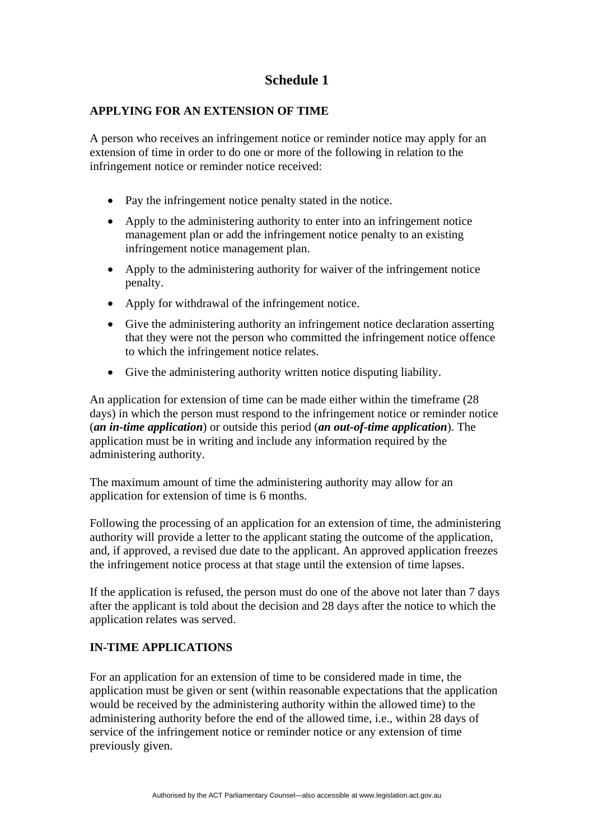# **Schedule 1**

#### **APPLYING FOR AN EXTENSION OF TIME**

A person who receives an infringement notice or reminder notice may apply for an extension of time in order to do one or more of the following in relation to the infringement notice or reminder notice received:

- Pay the infringement notice penalty stated in the notice.
- Apply to the administering authority to enter into an infringement notice management plan or add the infringement notice penalty to an existing infringement notice management plan.
- Apply to the administering authority for waiver of the infringement notice penalty.
- Apply for withdrawal of the infringement notice.
- Give the administering authority an infringement notice declaration asserting that they were not the person who committed the infringement notice offence to which the infringement notice relates.
- Give the administering authority written notice disputing liability.

An application for extension of time can be made either within the timeframe (28 days) in which the person must respond to the infringement notice or reminder notice (*an in-time application*) or outside this period (*an out-of-time application*). The application must be in writing and include any information required by the administering authority.

The maximum amount of time the administering authority may allow for an application for extension of time is 6 months.

Following the processing of an application for an extension of time, the administering authority will provide a letter to the applicant stating the outcome of the application, and, if approved, a revised due date to the applicant. An approved application freezes the infringement notice process at that stage until the extension of time lapses.

If the application is refused, the person must do one of the above not later than 7 days after the applicant is told about the decision and 28 days after the notice to which the application relates was served.

#### **IN-TIME APPLICATIONS**

For an application for an extension of time to be considered made in time, the application must be given or sent (within reasonable expectations that the application would be received by the administering authority within the allowed time) to the administering authority before the end of the allowed time, i.e., within 28 days of service of the infringement notice or reminder notice or any extension of time previously given.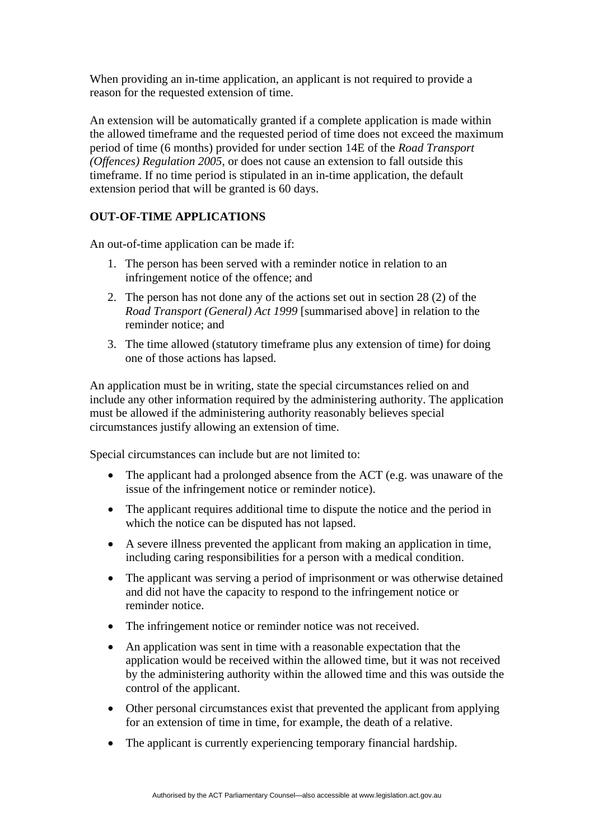When providing an in-time application, an applicant is not required to provide a reason for the requested extension of time.

An extension will be automatically granted if a complete application is made within the allowed timeframe and the requested period of time does not exceed the maximum period of time (6 months) provided for under section 14E of the *Road Transport (Offences) Regulation 2005*, or does not cause an extension to fall outside this timeframe. If no time period is stipulated in an in-time application, the default extension period that will be granted is 60 days.

# **OUT-OF-TIME APPLICATIONS**

An out-of-time application can be made if:

- 1. The person has been served with a reminder notice in relation to an infringement notice of the offence; and
- 2. The person has not done any of the actions set out in section 28 (2) of the *Road Transport (General) Act 1999* [summarised above] in relation to the reminder notice; and
- 3. The time allowed (statutory timeframe plus any extension of time) for doing one of those actions has lapsed.

An application must be in writing, state the special circumstances relied on and include any other information required by the administering authority. The application must be allowed if the administering authority reasonably believes special circumstances justify allowing an extension of time.

Special circumstances can include but are not limited to:

- The applicant had a prolonged absence from the ACT (e.g. was unaware of the issue of the infringement notice or reminder notice).
- The applicant requires additional time to dispute the notice and the period in which the notice can be disputed has not lapsed.
- A severe illness prevented the applicant from making an application in time, including caring responsibilities for a person with a medical condition.
- The applicant was serving a period of imprisonment or was otherwise detained and did not have the capacity to respond to the infringement notice or reminder notice.
- The infringement notice or reminder notice was not received.
- An application was sent in time with a reasonable expectation that the application would be received within the allowed time, but it was not received by the administering authority within the allowed time and this was outside the control of the applicant.
- Other personal circumstances exist that prevented the applicant from applying for an extension of time in time, for example, the death of a relative.
- The applicant is currently experiencing temporary financial hardship.